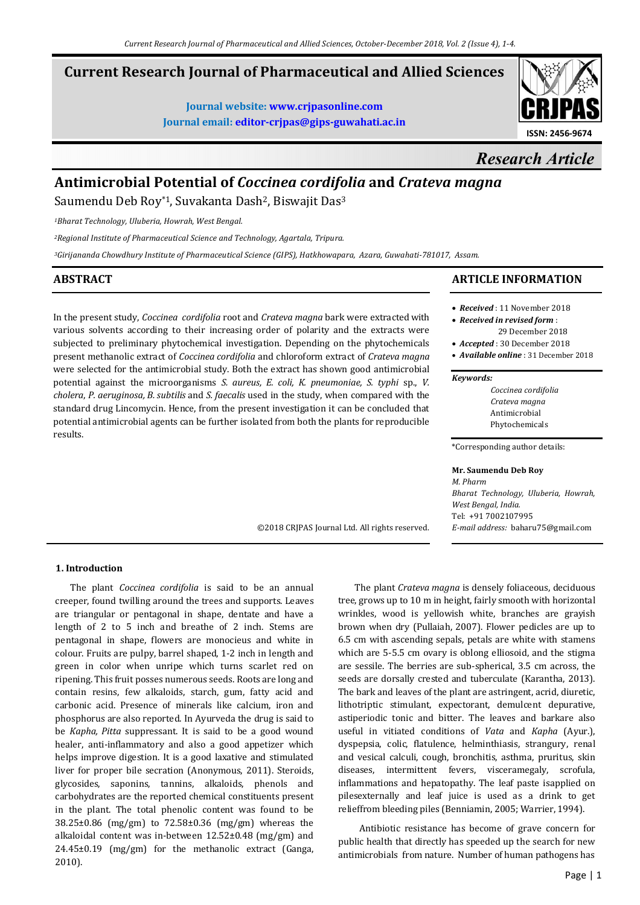©2018 CRJPAS Journal Ltd. All rights reserved.

# **Current Research Journal of Pharmaceutical and Allied Sciences**

**Journal website: www.crjpasonline.com Journal email: editor-crjpas@gips-guwahati.ac.in** 



# *Research Article*

# **Antimicrobial Potential of** *Coccinea cordifolia* **and** *Crateva magna*

Saumendu Deb Roy\*1, Suvakanta Dash<sup>2</sup>, Biswajit Das<sup>3</sup>

*<sup>1</sup>Bharat Technology, Uluberia, Howrah, West Bengal.* 

*<sup>2</sup>Regional Institute of Pharmaceutical Science and Technology, Agartala, Tripura.* 

*<sup>3</sup>Girijananda Chowdhury Institute of Pharmaceutical Science (GIPS), Hatkhowapara, Azara, Guwahati-781017, Assam.*

# **ABSTRACT**

In the present study, *Coccinea cordifolia* root and *Crateva magna* bark were extracted with various solvents according to their increasing order of polarity and the extracts were subjected to preliminary phytochemical investigation. Depending on the phytochemicals present methanolic extract of *Coccinea cordifolia* and chloroform extract of *Crateva magna* were selected for the antimicrobial study. Both the extract has shown good antimicrobial potential against the microorganisms *S. aureus, E. coli, K. pneumoniae, S. typhi* sp., *V. cholera*, *P. aeruginosa, B. subtilis* and *S. faecalis* used in the study, when compared with the standard drug Lincomycin. Hence, from the present investigation it can be concluded that potential antimicrobial agents can be further isolated from both the plants for reproducible results.

# **ARTICLE INFORMATION**

- *Received* : 11 November 2018
- *Received in revised form* : 29 December 2018
- *Accepted* : 30 December 2018
- *Available online* : 31 December 2018

#### *Keywords:*

*Coccinea cordifolia Crateva magna*  Antimicrobial Phytochemicals

\*Corresponding author details:

#### **Mr. Saumendu Deb Roy**

*M. Pharm Bharat Technology, Uluberia, Howrah, West Bengal, India.*  Tel: +91 7002107995 *E-mail address:* baharu75@gmail.com

# **1. Introduction**

 The plant *Coccinea cordifolia* is said to be an annual creeper, found twilling around the trees and supports. Leaves are triangular or pentagonal in shape, dentate and have a length of 2 to 5 inch and breathe of 2 inch. Stems are pentagonal in shape, flowers are monocieus and white in colour. Fruits are pulpy, barrel shaped, 1-2 inch in length and green in color when unripe which turns scarlet red on ripening. This fruit posses numerous seeds. Roots are long and contain resins, few alkaloids, starch, gum, fatty acid and carbonic acid. Presence of minerals like calcium, iron and phosphorus are also reported. In Ayurveda the drug is said to be *Kapha, Pitta* suppressant. It is said to be a good wound healer, anti-inflammatory and also a good appetizer which helps improve digestion. It is a good laxative and stimulated liver for proper bile secration (Anonymous, 2011). Steroids, glycosides, saponins, tannins, alkaloids, phenols and carbohydrates are the reported chemical constituents present in the plant. The total phenolic content was found to be 38.25±0.86 (mg/gm) to 72.58±0.36 (mg/gm) whereas the alkaloidal content was in-between 12.52±0.48 (mg/gm) and 24.45±0.19 (mg/gm) for the methanolic extract (Ganga, 2010).

 The plant *Crateva magna* is densely foliaceous, deciduous tree, grows up to 10 m in height, fairly smooth with horizontal wrinkles, wood is yellowish white, branches are grayish brown when dry (Pullaiah, 2007). Flower pedicles are up to 6.5 cm with ascending sepals, petals are white with stamens which are 5-5.5 cm ovary is oblong elliosoid, and the stigma are sessile. The berries are sub-spherical, 3.5 cm across, the seeds are dorsally crested and tuberculate (Karantha, 2013). The bark and leaves of the plant are astringent, acrid, diuretic, lithotriptic stimulant, expectorant, demulcent depurative, astiperiodic tonic and bitter. The leaves and barkare also useful in vitiated conditions of *Vata* and *Kapha* (Ayur.), dyspepsia, colic, flatulence, helminthiasis, strangury, renal and vesical calculi, cough, bronchitis, asthma, pruritus, skin diseases, intermittent fevers, visceramegaly, scrofula, inflammations and hepatopathy. The leaf paste isapplied on pilesexternally and leaf juice is used as a drink to get relieffrom bleeding piles (Benniamin, 2005; Warrier, 1994).

 Antibiotic resistance has become of grave concern for public health that directly has speeded up the search for new antimicrobials from nature. Number of human pathogens has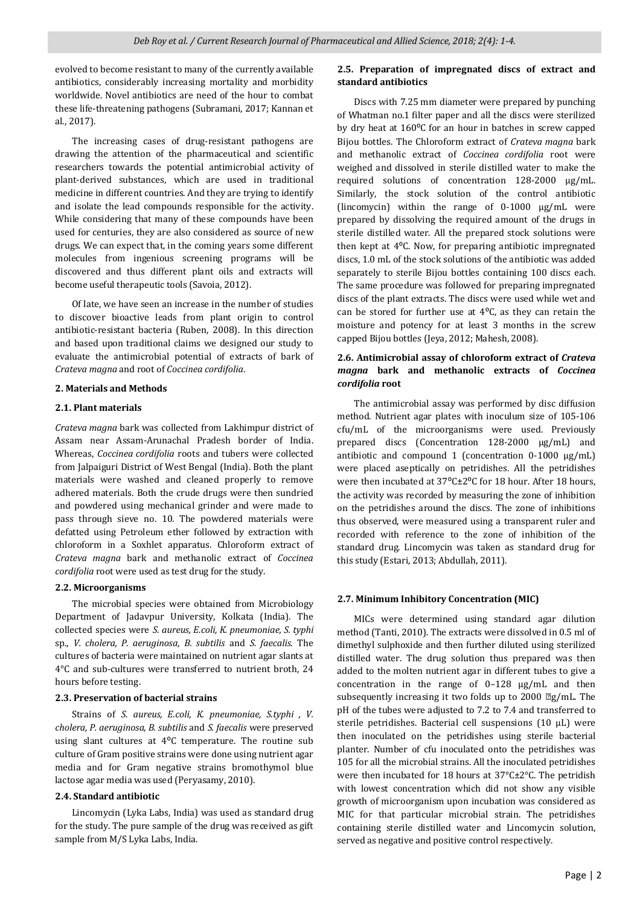evolved to become resistant to many of the currently available antibiotics, considerably increasing mortality and morbidity worldwide. Novel antibiotics are need of the hour to combat these life-threatening pathogens (Subramani, 2017; Kannan et al., 2017).

 The increasing cases of drug-resistant pathogens are drawing the attention of the pharmaceutical and scientific researchers towards the potential antimicrobial activity of plant-derived substances, which are used in traditional medicine in different countries. And they are trying to identify and isolate the lead compounds responsible for the activity. While considering that many of these compounds have been used for centuries, they are also considered as source of new drugs. We can expect that, in the coming years some different molecules from ingenious screening programs will be discovered and thus different plant oils and extracts will become useful therapeutic tools (Savoia, 2012).

 Of late, we have seen an increase in the number of studies to discover bioactive leads from plant origin to control antibiotic-resistant bacteria (Ruben, 2008). In this direction and based upon traditional claims we designed our study to evaluate the antimicrobial potential of extracts of bark of *Crateva magna* and root of *Coccinea cordifolia*.

# **2. Materials and Methods**

### **2.1. Plant materials**

*Crateva magna* bark was collected from Lakhimpur district of Assam near Assam-Arunachal Pradesh border of India. Whereas, *Coccinea cordifolia* roots and tubers were collected from Jalpaiguri District of West Bengal (India). Both the plant materials were washed and cleaned properly to remove adhered materials. Both the crude drugs were then sundried and powdered using mechanical grinder and were made to pass through sieve no. 10. The powdered materials were defatted using Petroleum ether followed by extraction with chloroform in a Soxhlet apparatus. Chloroform extract of *Crateva magna* bark and methanolic extract of *Coccinea cordifolia* root were used as test drug for the study.

# **2.2. Microorganisms**

 The microbial species were obtained from Microbiology Department of Jadavpur University, Kolkata (India). The collected species were *S. aureus, E.coli, K. pneumoniae, S. typhi* sp., *V. cholera, P. aeruginosa*, *B. subtilis* and *S. faecalis*. The cultures of bacteria were maintained on nutrient agar slants at 4°C and sub-cultures were transferred to nutrient broth, 24 hours before testing.

# **2.3. Preservation of bacterial strains**

 Strains of *S. aureus, E.coli, K. pneumoniae, S.typhi , V. cholera, P. aeruginosa, B. subtilis* and *S. faecalis* were preserved using slant cultures at 4°C temperature. The routine sub culture of Gram positive strains were done using nutrient agar media and for Gram negative strains bromothymol blue lactose agar media was used (Peryasamy, 2010).

# **2.4. Standard antibiotic**

 Lincomycin (Lyka Labs, India) was used as standard drug for the study. The pure sample of the drug was received as gift sample from M/S Lyka Labs, India.

# **2.5. Preparation of impregnated discs of extract and standard antibiotics**

 Discs with 7.25 mm diameter were prepared by punching of Whatman no.1 filter paper and all the discs were sterilized by dry heat at 160°C for an hour in batches in screw capped Bijou bottles. The Chloroform extract of *Crateva magna* bark and methanolic extract of *Coccinea cordifolia* root were weighed and dissolved in sterile distilled water to make the required solutions of concentration 128-2000 µg/mL. Similarly, the stock solution of the control antibiotic (lincomycin) within the range of 0-1000 µg/mL were prepared by dissolving the required amount of the drugs in sterile distilled water. All the prepared stock solutions were then kept at 4⁰C. Now, for preparing antibiotic impregnated discs, 1.0 mL of the stock solutions of the antibiotic was added separately to sterile Bijou bottles containing 100 discs each. The same procedure was followed for preparing impregnated discs of the plant extracts. The discs were used while wet and can be stored for further use at  $4^{\circ}$ C, as they can retain the moisture and potency for at least 3 months in the screw capped Bijou bottles (Jeya, 2012; Mahesh, 2008).

# **2.6. Antimicrobial assay of chloroform extract of** *Crateva magna* **bark and methanolic extracts of** *Coccinea cordifolia* **root**

 The antimicrobial assay was performed by disc diffusion method. Nutrient agar plates with inoculum size of 105-106 cfu/mL of the microorganisms were used. Previously prepared discs (Concentration 128-2000 µg/mL) and antibiotic and compound 1 (concentration  $0-1000 \text{ µg/mL}$ ) were placed aseptically on petridishes. All the petridishes were then incubated at 37°C±2°C for 18 hour. After 18 hours, the activity was recorded by measuring the zone of inhibition on the petridishes around the discs. The zone of inhibitions thus observed, were measured using a transparent ruler and recorded with reference to the zone of inhibition of the standard drug. Lincomycin was taken as standard drug for this study (Estari, 2013; Abdullah, 2011).

# **2.7. Minimum Inhibitory Concentration (MIC)**

 MICs were determined using standard agar dilution method (Tanti, 2010). The extracts were dissolved in 0.5 ml of dimethyl sulphoxide and then further diluted using sterilized distilled water. The drug solution thus prepared was then added to the molten nutrient agar in different tubes to give a concentration in the range of 0–128 µg/mL and then subsequently increasing it two folds up to 2000  $\mathbb{Z}g/mL$ . The pH of the tubes were adjusted to 7.2 to 7.4 and transferred to sterile petridishes. Bacterial cell suspensions (10 µL) were then inoculated on the petridishes using sterile bacterial planter. Number of cfu inoculated onto the petridishes was 105 for all the microbial strains. All the inoculated petridishes were then incubated for 18 hours at 37°C±2°C. The petridish with lowest concentration which did not show any visible growth of microorganism upon incubation was considered as MIC for that particular microbial strain. The petridishes containing sterile distilled water and Lincomycin solution, served as negative and positive control respectively.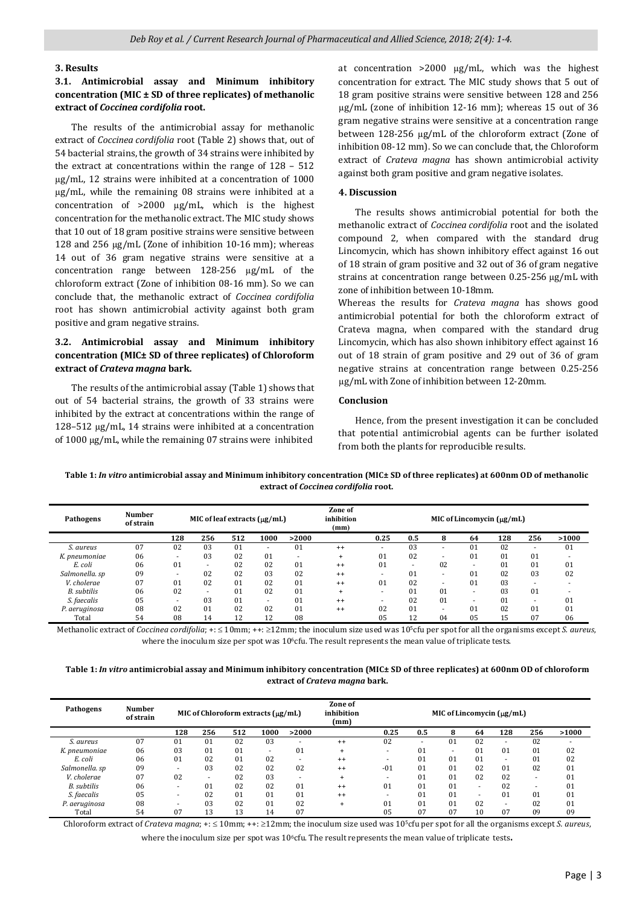#### **3. Results**

# **3.1. Antimicrobial assay and Minimum inhibitory concentration (MIC ± SD of three replicates) of methanolic extract of** *Coccinea cordifolia* **root.**

 The results of the antimicrobial assay for methanolic extract of *Coccinea cordifolia* root (Table 2) shows that, out of 54 bacterial strains, the growth of 34 strains were inhibited by the extract at concentrations within the range of 128 – 512 µg/mL, 12 strains were inhibited at a concentration of 1000 µg/mL, while the remaining 08 strains were inhibited at a concentration of >2000 µg/mL, which is the highest concentration for the methanolic extract. The MIC study shows that 10 out of 18 gram positive strains were sensitive between 128 and 256 µg/mL (Zone of inhibition 10-16 mm); whereas 14 out of 36 gram negative strains were sensitive at a concentration range between 128-256 µg/mL of the chloroform extract (Zone of inhibition 08-16 mm). So we can conclude that, the methanolic extract of *Coccinea cordifolia* root has shown antimicrobial activity against both gram positive and gram negative strains.

# **3.2. Antimicrobial assay and Minimum inhibitory concentration (MIC± SD of three replicates) of Chloroform extract of** *Crateva magna* **bark.**

 The results of the antimicrobial assay (Table 1) shows that out of 54 bacterial strains, the growth of 33 strains were inhibited by the extract at concentrations within the range of 128–512 µg/mL, 14 strains were inhibited at a concentration of 1000 µg/mL, while the remaining 07 strains were inhibited

at concentration >2000 µg/mL, which was the highest concentration for extract. The MIC study shows that 5 out of 18 gram positive strains were sensitive between 128 and 256 µg/mL (zone of inhibition 12-16 mm); whereas 15 out of 36 gram negative strains were sensitive at a concentration range between 128-256 µg/mL of the chloroform extract (Zone of inhibition 08-12 mm). So we can conclude that, the Chloroform extract of *Crateva magna* has shown antimicrobial activity against both gram positive and gram negative isolates.

# **4. Discussion**

 The results shows antimicrobial potential for both the methanolic extract of *Coccinea cordifolia* root and the isolated compound 2, when compared with the standard drug Lincomycin, which has shown inhibitory effect against 16 out of 18 strain of gram positive and 32 out of 36 of gram negative strains at concentration range between 0.25-256 µg/mL with zone of inhibition between 10-18mm.

Whereas the results for *Crateva magna* has shows good antimicrobial potential for both the chloroform extract of Crateva magna, when compared with the standard drug Lincomycin, which has also shown inhibitory effect against 16 out of 18 strain of gram positive and 29 out of 36 of gram negative strains at concentration range between 0.25-256 µg/mL with Zone of inhibition between 12-20mm.

#### **Conclusion**

 Hence, from the present investigation it can be concluded that potential antimicrobial agents can be further isolated from both the plants for reproducible results.

**Table 1:** *In vitro* **antimicrobial assay and Minimum inhibitory concentration (MIC± SD of three replicates) at 600nm OD of methanolic extract of** *Coccinea cordifolia* **root.**

| Pathogens      | <b>Number</b><br>of strain | MIC of leaf extracts $(\mu g/mL)$ |     |     |                          |                          | Zone of<br>inhibition<br>(mm) | MIC of Lincomycin $(\mu g/mL)$ |     |                          |                          |     |        |       |  |
|----------------|----------------------------|-----------------------------------|-----|-----|--------------------------|--------------------------|-------------------------------|--------------------------------|-----|--------------------------|--------------------------|-----|--------|-------|--|
|                |                            | 128                               | 256 | 512 | 1000                     | >2000                    |                               | 0.25                           | 0.5 | 8                        | 64                       | 128 | 256    | >1000 |  |
| S. aureus      | 07                         | 02                                | 03  | 01  | $\overline{\phantom{a}}$ | 01                       | $^{++}$                       | ۰                              | 03  | $\overline{\phantom{a}}$ | 01                       | 02  |        | 01    |  |
| K. pneumoniae  | 06                         | ٠                                 | 03  | 02  | 01                       | $\overline{\phantom{a}}$ | $^{+}$                        | 01                             | 02  | $\overline{\phantom{a}}$ | 01                       | 01  | 01     |       |  |
| E. coli        | 06                         | 01                                | ۰.  | 02  | 02                       | 01                       | $^{++}$                       | 01                             | ۰   | 02                       |                          | 01  | 01     | 01    |  |
| Salmonella. sp | 09                         |                                   | 02  | 02  | 03                       | 02                       | $^{++}$                       |                                | 01  | $\overline{\phantom{a}}$ | 01                       | 02  | 03     | 02    |  |
| V. cholerae    | 07                         | $_{01}$                           | 02  | 01  | 02                       | 01                       | $^{++}$                       | 01                             | 02  | ۰                        | 01                       | 03  | $\sim$ |       |  |
| B. subtilis    | 06                         | 02                                | ۰.  | 01  | 02                       | 01                       | $+$                           |                                | 01  | 01                       | $\overline{\phantom{a}}$ | 03  | 01     |       |  |
| S. faecalis    | 05                         | ۰                                 | 03  | 01  | $\overline{\phantom{a}}$ | 01                       | $^{++}$                       |                                | 02  | 01                       |                          | 01  |        | 01    |  |
| P. aeruginosa  | 08                         | 02                                | 01  | 02  | 02                       | 01                       | $^{++}$                       | 02                             | 01  |                          | 01                       | 02  | 01     | 01    |  |
| Total          | 54                         | 08                                | 14  | 12  | 12                       | 08                       |                               | 05                             | 12  | 04                       | 05                       | 15  | 07     | 06    |  |

Methanolic extract of *Coccinea cordifolia*; +: ≤ 10mm; ++: ≥12mm; the inoculum size used was 105cfu per spot for all the organisms except *S. aureus*, where the inoculum size per spot was 10<sup>6</sup>cfu. The result represents the mean value of triplicate tests.

**Table 1:** *In vitro* **antimicrobial assay and Minimum inhibitory concentration (MIC± SD of three replicates) at 600nm OD of chloroform extract of** *Crateva magna* **bark.**

| Pathogens          | <b>Number</b><br>of strain |     |     |     | MIC of Chloroform extracts $(\mu g/ml)$ |                          | Zone of<br>inhibition<br>(mm) | MIC of Lincomycin $(\mu g/mL)$ |     |                |                          |     |                |       |
|--------------------|----------------------------|-----|-----|-----|-----------------------------------------|--------------------------|-------------------------------|--------------------------------|-----|----------------|--------------------------|-----|----------------|-------|
|                    |                            | 128 | 256 | 512 | 1000                                    | >2000                    |                               | 0.25                           | 0.5 | ឧ              | 64                       | 128 | 256            | >1000 |
| S. aureus          | 07                         | 01  | 01  | 02  | 03                                      | ۰                        | $^{++}$                       | 02                             | ۰   | 01             | 02                       |     | 02             |       |
| K. pneumoniae      | 06                         | 03  | 01  | 01  | ۰                                       | 01                       | $\ddot{}$                     |                                | 01  |                | $_{01}$                  | 01  | 01             | 02    |
| E. coli            | 06                         | 01  | 02  | 01  | 02                                      |                          | $^{++}$                       |                                | 01  | 01             | 0 <sub>1</sub>           |     | 01             | 02    |
| Salmonella. sp     | 09                         |     | 03  | 02  | 02                                      | 02                       | $^{++}$                       | $-01$                          | 01  | 01             | 02                       | 01  | 02             | 01    |
| V. cholerae        | 07                         | 02  |     | 02  | 03                                      | $\overline{\phantom{a}}$ | $+$                           |                                | 01  | 0 <sub>1</sub> | 02                       | 02  |                | 01    |
| <b>B.</b> subtilis | 06                         |     | 01  | 02  | 02                                      | 01                       | $^{++}$                       | 01                             | 01  | 01             | ۰.                       | 02  |                | 01    |
| S. faecalis        | 05                         |     | 02  | 01  | 01                                      | 01                       | $^{++}$                       |                                | 01  | 01             | $\overline{\phantom{a}}$ | 01  | 0 <sub>1</sub> | 01    |
| P. aeruginosa      | 08                         |     | 03  | 02  | 01                                      | 02                       | $+$                           | 01                             | 01  | 01             | 02                       |     | 02             | 01    |
| Total              | 54                         | 07  | 13  | 13  | 14                                      | 07                       |                               | 05                             | 07  | 07             | 10                       | 07  | 09             | 09    |

Chloroform extract of *Crateva magna*; +: ≤ 10mm; ++: ≥12mm; the inoculum size used was 105cfu per spot for all the organisms except *S. aureus*,

where the inoculum size per spot was 10<sup>6</sup>cfu. The result represents the mean value of triplicate tests.